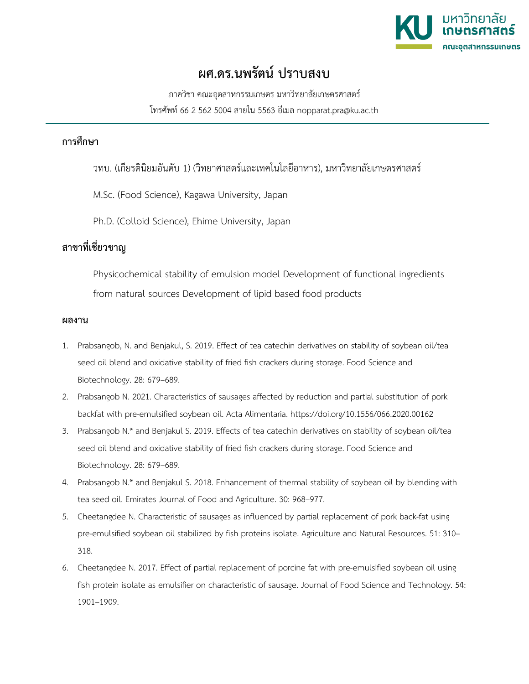

## **ผศ.ดร.นพรัตน ปราบสงบ**

ภาควิชา คณะอุตสาหกรรมเกษตร มหาวิทยาลัยเกษตรศาสตร โทรศัพท 66 2 562 5004 สายใน 5563 อีเมล nopparat.pra@ku.ac.th

## **การศึกษา**

วทบ. (เกียรตินิยมอันดับ 1) (วิทยาศาสตรและเทคโนโลยีอาหาร), มหาวิทยาลัยเกษตรศาสตร

M.Sc. (Food Science), Kagawa University, Japan

Ph.D. (Colloid Science), Ehime University, Japan

## **สาขาที่เชี่ยวชาญ**

Physicochemical stability of emulsion model Development of functional ingredients from natural sources Development of lipid based food products

## **ผลงาน**

- 1. Prabsangob, N. and Benjakul, S. 2019. Effect of tea catechin derivatives on stability of soybean oil/tea seed oil blend and oxidative stability of fried fish crackers during storage. Food Science and Biotechnology. 28: 679–689.
- 2. Prabsangob N. 2021. Characteristics of sausages affected by reduction and partial substitution of pork backfat with pre-emulsified soybean oil. Acta Alimentaria. https://doi.org/10.1556/066.2020.00162
- 3. Prabsangob N.\* and Benjakul S. 2019. Effects of tea catechin derivatives on stability of soybean oil/tea seed oil blend and oxidative stability of fried fish crackers during storage. Food Science and Biotechnology. 28: 679–689.
- 4. Prabsangob N.\* and Benjakul S. 2018. Enhancement of thermal stability of soybean oil by blending with tea seed oil. Emirates Journal of Food and Agriculture. 30: 968–977.
- 5. Cheetangdee N. Characteristic of sausages as influenced by partial replacement of pork back-fat using pre-emulsified soybean oil stabilized by fish proteins isolate. Agriculture and Natural Resources. 51: 310– 318.
- 6. Cheetangdee N. 2017. Effect of partial replacement of porcine fat with pre-emulsified soybean oil using fish protein isolate as emulsifier on characteristic of sausage. Journal of Food Science and Technology. 54: 1901–1909.